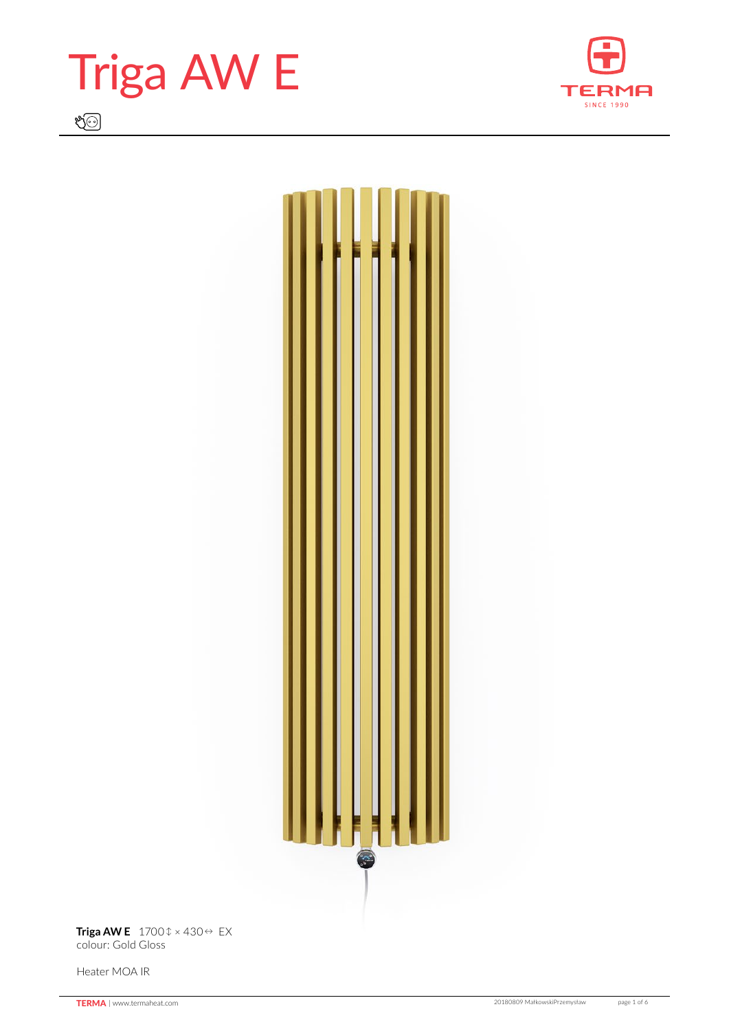





**Triga AW E** 1700 ↕ × 430 ↔ EX colour: Gold Gloss

Heater MOA IR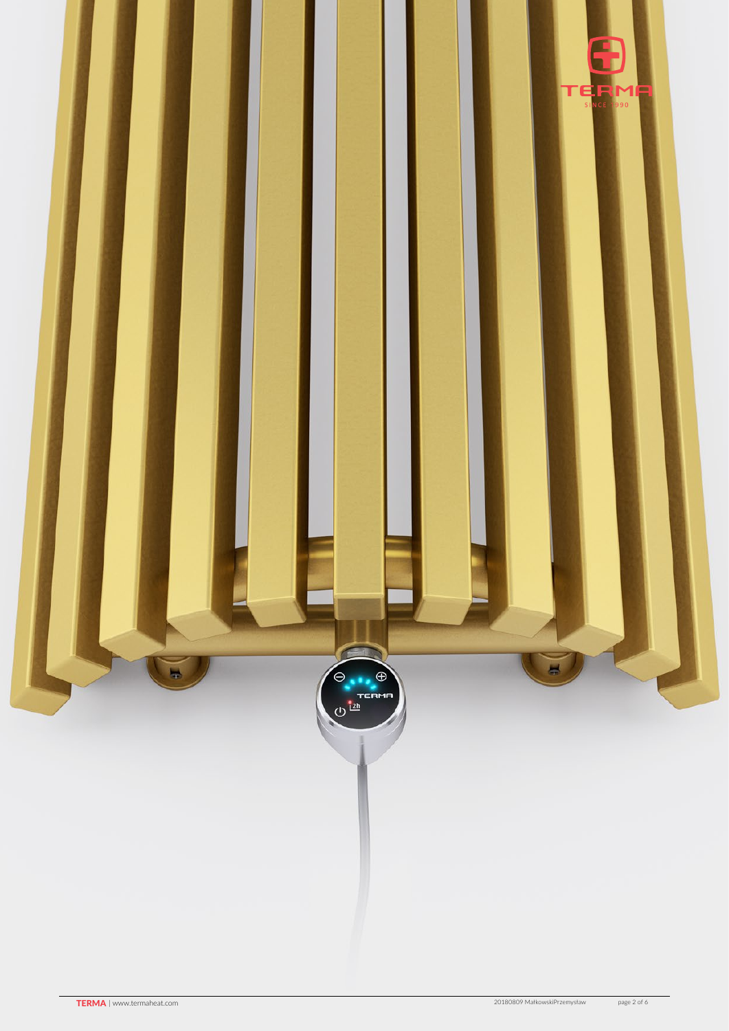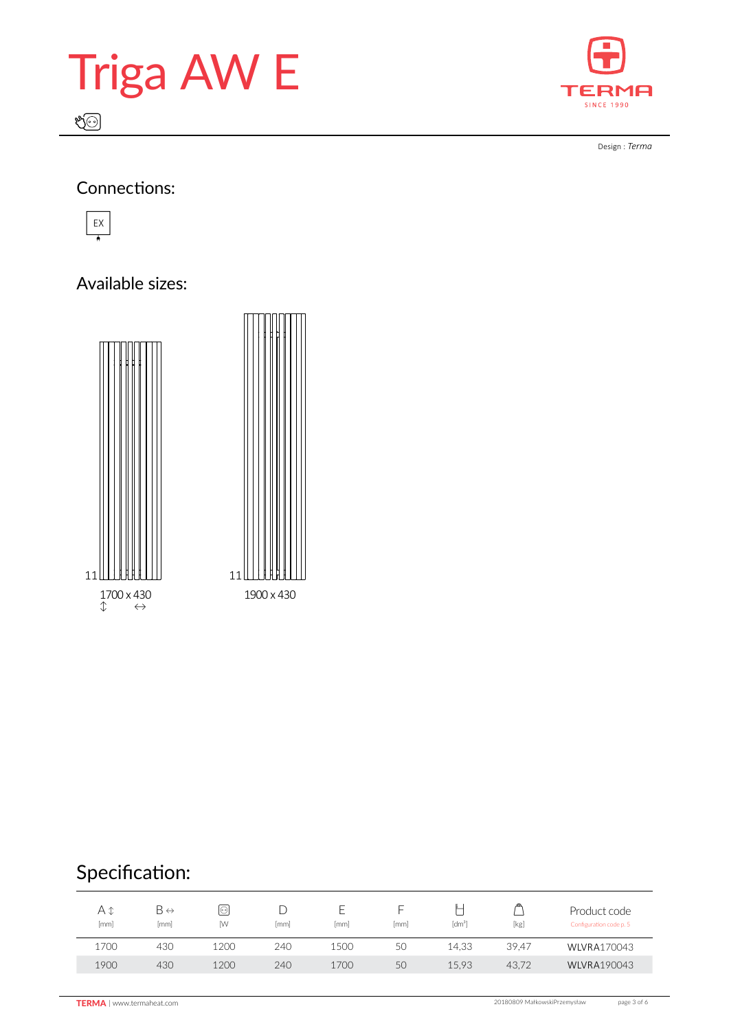



Design : *Terma*

# Connections:



## Available sizes:





# Specification:

| А¢<br>mm | $B \leftrightarrow$<br>mm | ☺<br><b>IW</b> | [mm] | [mm] | –<br>[mm] | [dm <sup>3</sup> ] | [kg]  | Product code<br>Configuration code p. 5 |
|----------|---------------------------|----------------|------|------|-----------|--------------------|-------|-----------------------------------------|
| 1700     | 430                       | 1200           | 240  | 1500 | 50        | 14.33              | 39.47 | <b>WLVRA170043</b>                      |
| 1900     | 430                       | 1200           | 240  | 1700 | 50        | 15.93              | 43.72 | WLVRA190043                             |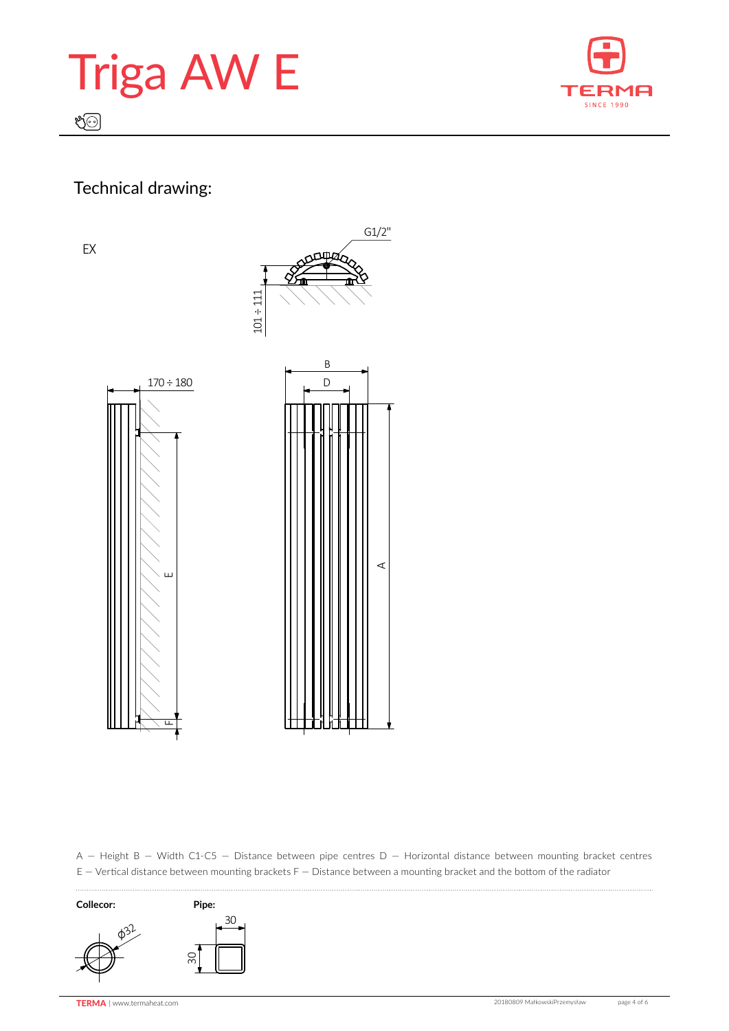



Technical drawing:

EX



A — Height B — Width C1-C5 — Distance between pipe centres D — Horizontal distance between mounting bracket centres E – Vertical distance between mounting brackets F – Distance between a mounting bracket and the bottom of the radiator



 $\cdots$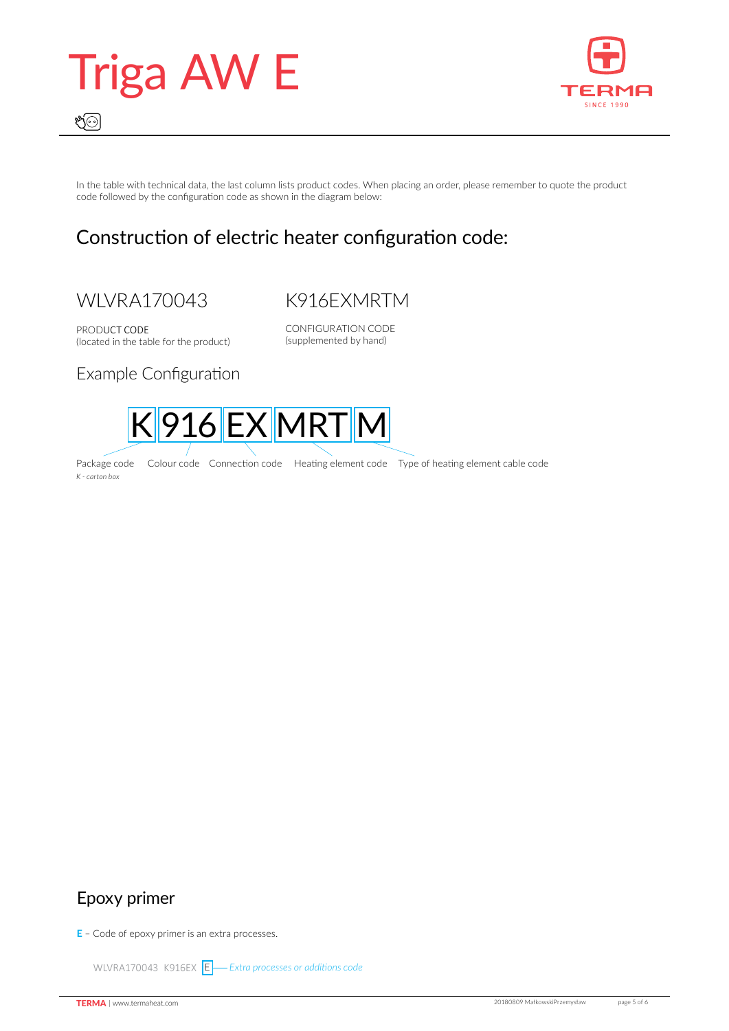



In the table with technical data, the last column lists product codes. When placing an order, please remember to quote the product code followed by the configuration code as shown in the diagram below:

# Construction of electric heater configuration code:

WLVRA170043

K916EXMRTM

PRODUCT CODE (located in the table for the product) CONFIGURATION CODE (supplemented by hand)

Example Configuration



*K - carton box*

Package code Colour code Connection code Heating element code Type of heating element cable code

### Epoxy primer

**E** – Code of epoxy primer is an extra processes.

WLVRA170043 K916EX E *Extra processes or additions code*